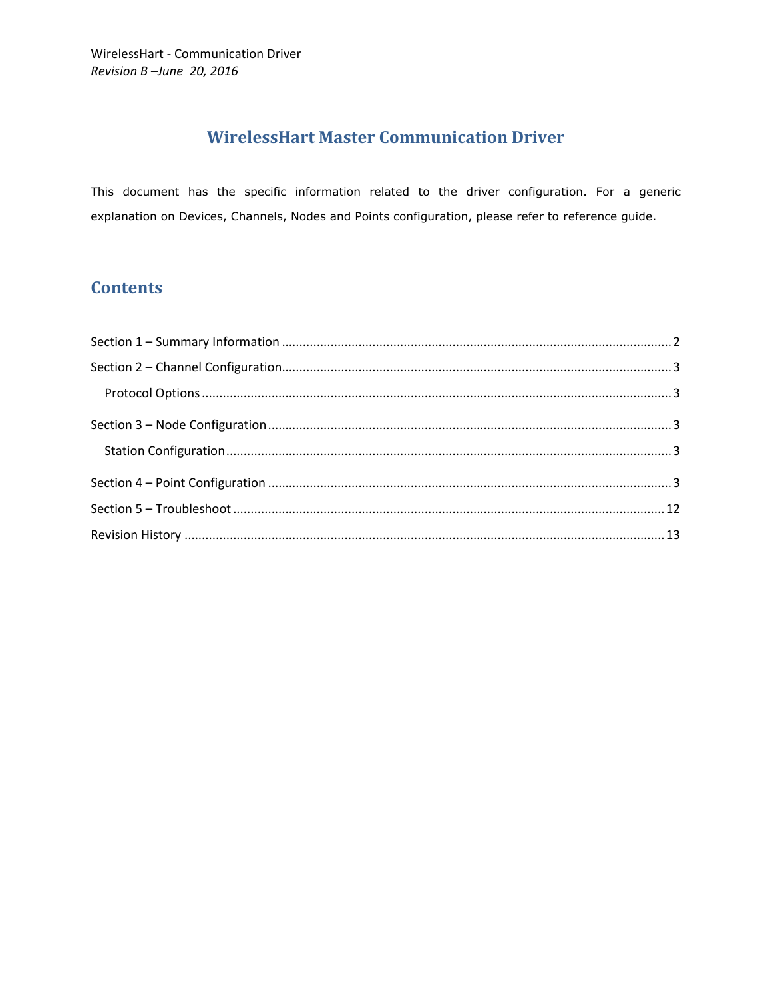## **WirelessHart Master Communication Driver**

This document has the specific information related to the driver configuration. For a generic explanation on Devices, Channels, Nodes and Points configuration, please refer to reference guide.

## **Contents**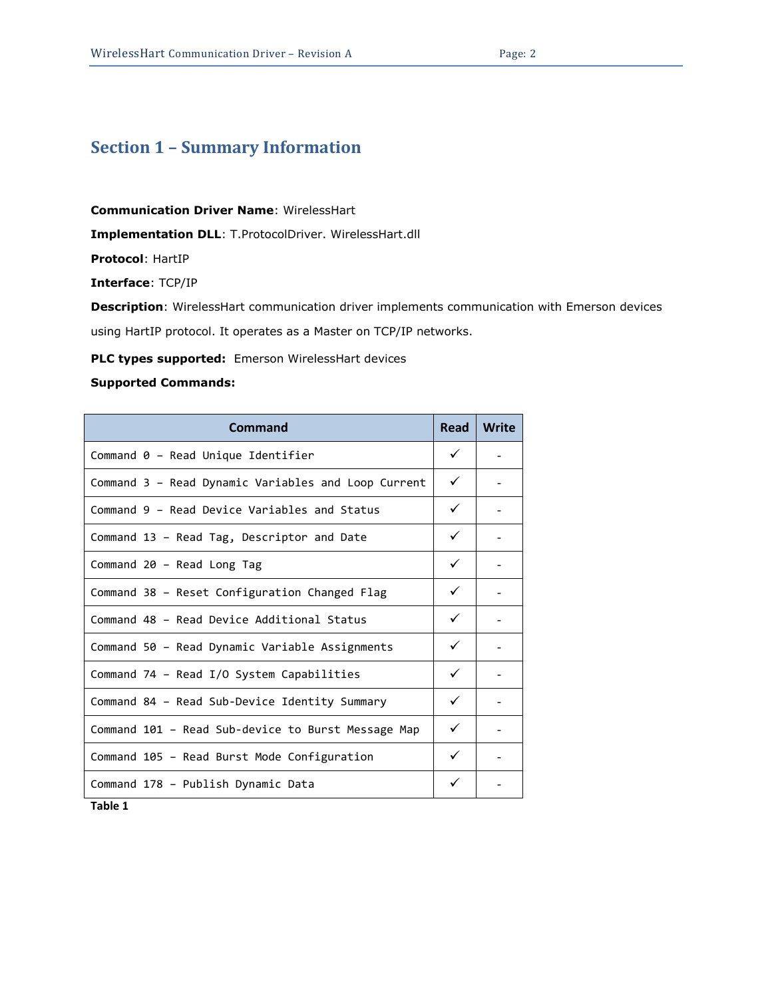## <span id="page-1-0"></span>**Section 1 – Summary Information**

**Communication Driver Name**: WirelessHart

**Implementation DLL**: T.ProtocolDriver. WirelessHart.dll

**Protocol**: HartIP

**Interface**: TCP/IP

**Description**: WirelessHart communication driver implements communication with Emerson devices

using HartIP protocol. It operates as a Master on TCP/IP networks.

**PLC types supported:** Emerson WirelessHart devices

#### **Supported Commands:**

| Command                                             | Read         | <b>Write</b> |
|-----------------------------------------------------|--------------|--------------|
| Command 0 - Read Unique Identifier                  | ✓            |              |
| Command 3 - Read Dynamic Variables and Loop Current | $\checkmark$ |              |
| Command 9 - Read Device Variables and Status        | $\checkmark$ |              |
| Command 13 - Read Tag, Descriptor and Date          | $\checkmark$ |              |
| Command 20 - Read Long Tag                          | $\checkmark$ |              |
| Command 38 - Reset Configuration Changed Flag       | $\checkmark$ |              |
| Command 48 - Read Device Additional Status          | ✓            |              |
| Command 50 - Read Dynamic Variable Assignments      | $\checkmark$ |              |
| Command 74 - Read I/O System Capabilities           | ✓            |              |
| Command 84 - Read Sub-Device Identity Summary       | $\checkmark$ |              |
| Command 101 - Read Sub-device to Burst Message Map  | ✓            |              |
| Command 105 - Read Burst Mode Configuration         | ✓            |              |
| Command 178 - Publish Dynamic Data                  | $\checkmark$ |              |

**Table 1**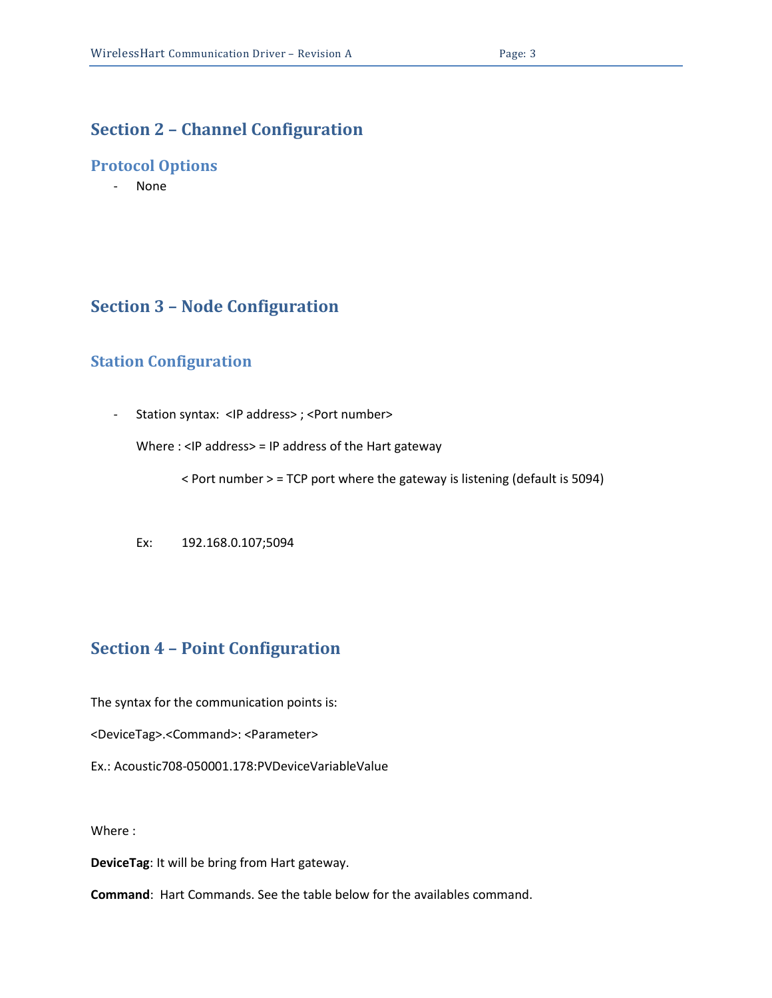#### <span id="page-2-0"></span>**Section 2 – Channel Configuration**

#### <span id="page-2-1"></span>**Protocol Options**

None

## <span id="page-2-2"></span>**Section 3 – Node Configuration**

#### <span id="page-2-3"></span>**Station Configuration**

- Station syntax: <IP address> ; <Port number>

Where : <IP address> = IP address of the Hart gateway

< Port number > = TCP port where the gateway is listening (default is 5094)

<span id="page-2-4"></span>Ex: 192.168.0.107;5094

#### **Section 4 – Point Configuration**

The syntax for the communication points is:

<DeviceTag>.<Command>: <Parameter>

Ex.: Acoustic708-050001.178:PVDeviceVariableValue

Where :

**DeviceTag**: It will be bring from Hart gateway.

**Command**: Hart Commands. See the table below for the availables command.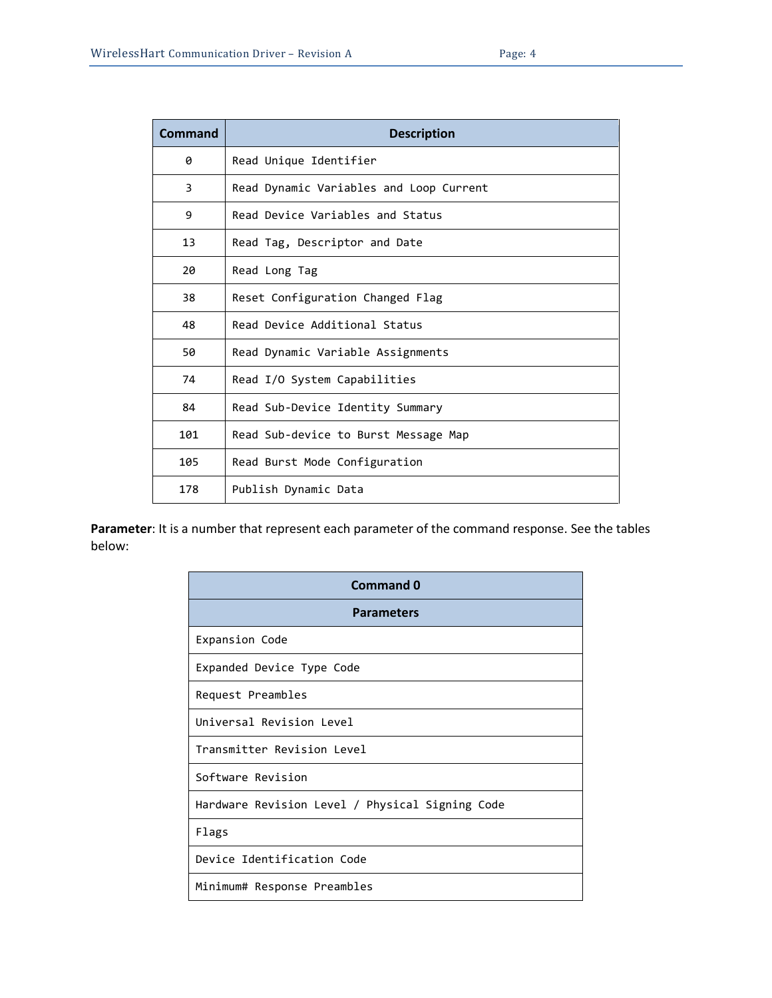| <b>Command</b> | <b>Description</b>                      |
|----------------|-----------------------------------------|
| ø              | Read Unique Identifier                  |
| 3              | Read Dynamic Variables and Loop Current |
| 9              | Read Device Variables and Status        |
| 13             | Read Tag, Descriptor and Date           |
| 20             | Read Long Tag                           |
| 38             | Reset Configuration Changed Flag        |
| 48             | Read Device Additional Status           |
| 50             | Read Dynamic Variable Assignments       |
| 74             | Read I/O System Capabilities            |
| 84             | Read Sub-Device Identity Summary        |
| 101            | Read Sub-device to Burst Message Map    |
| 105            | Read Burst Mode Configuration           |
| 178            | Publish Dynamic Data                    |

**Parameter**: It is a number that represent each parameter of the command response. See the tables below:

| <b>Command 0</b>                                |
|-------------------------------------------------|
| <b>Parameters</b>                               |
| Expansion Code                                  |
| Expanded Device Type Code                       |
| Request Preambles                               |
| Universal Revision Level                        |
| Transmitter Revision Level                      |
| Software Revision                               |
| Hardware Revision Level / Physical Signing Code |
| Flags                                           |
| Device Identification Code                      |
| Minimum# Response Preambles                     |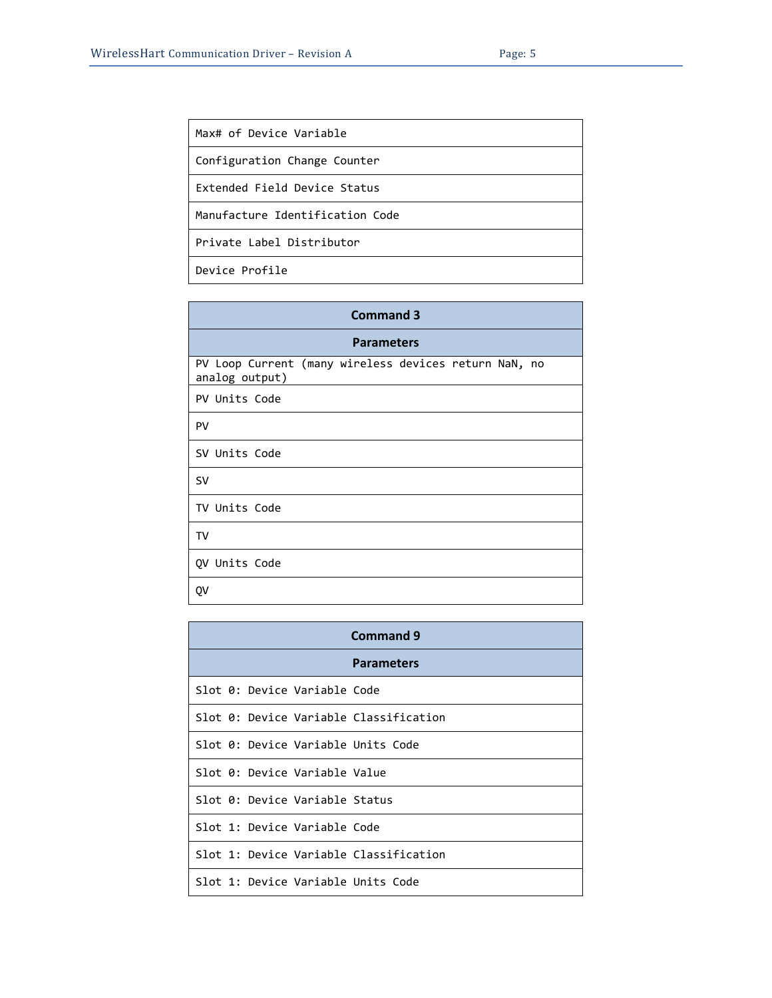| Max# of Device Variable         |
|---------------------------------|
| Configuration Change Counter    |
| Extended Field Device Status    |
| Manufacture Identification Code |
| Private Label Distributor       |
| Device Profile                  |

| <b>Command 3</b>                                                        |
|-------------------------------------------------------------------------|
| <b>Parameters</b>                                                       |
| PV Loop Current (many wireless devices return NaN, no<br>analog output) |
| PV Units Code                                                           |
| PV                                                                      |
| SV Units Code                                                           |
| <b>SV</b>                                                               |
| TV Units Code                                                           |
| TV                                                                      |
| QV Units Code                                                           |
| QV                                                                      |

| Command 9                              |
|----------------------------------------|
| <b>Parameters</b>                      |
| Slot 0: Device Variable Code           |
| Slot 0: Device Variable Classification |
| Slot 0: Device Variable Units Code     |
| Slot 0: Device Variable Value          |
| Slot 0: Device Variable Status         |
| Slot 1: Device Variable Code           |
| Slot 1: Device Variable Classification |
| Slot 1: Device Variable Units Code     |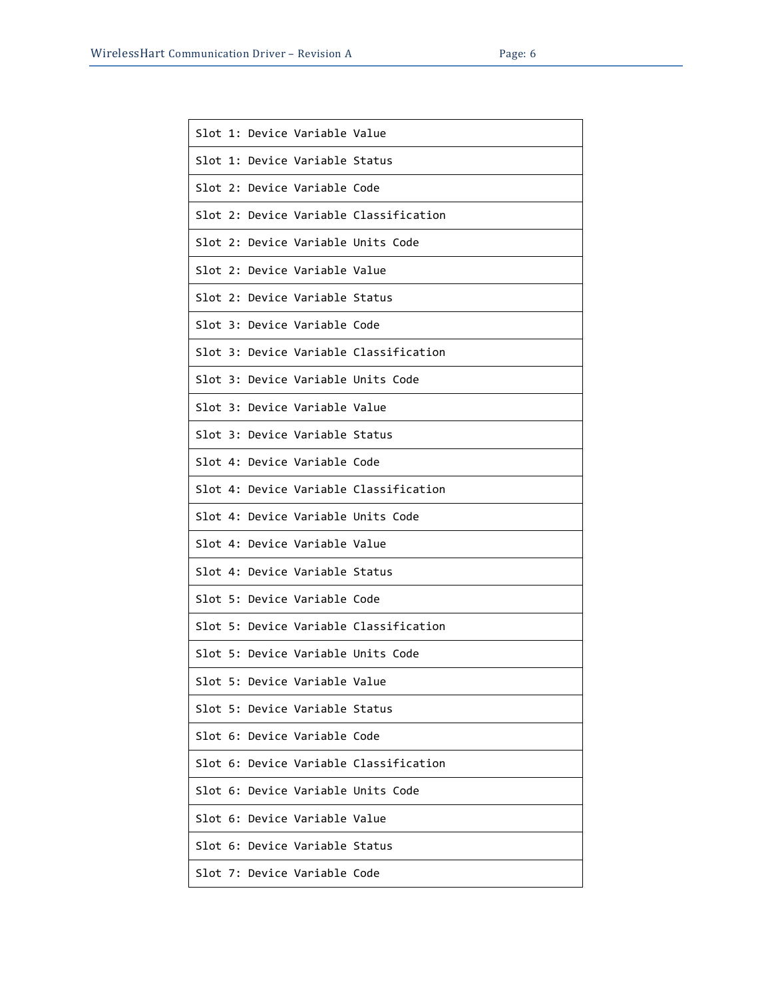| Slot 1: Device Variable Value          |
|----------------------------------------|
| Slot 1: Device Variable Status         |
| Slot 2: Device Variable Code           |
| Slot 2: Device Variable Classification |
| Slot 2: Device Variable Units Code     |
| Slot 2: Device Variable Value          |
| Slot 2: Device Variable Status         |
| Slot 3: Device Variable Code           |
| Slot 3: Device Variable Classification |
| Slot 3: Device Variable Units Code     |
| Slot 3: Device Variable Value          |
| Slot 3: Device Variable Status         |
| Slot 4: Device Variable Code           |
| Slot 4: Device Variable Classification |
| Slot 4: Device Variable Units Code     |
| Slot 4: Device Variable Value          |
| Slot 4: Device Variable Status         |
| Slot 5: Device Variable Code           |
| Slot 5: Device Variable Classification |
| Slot 5: Device Variable Units Code     |
| Slot 5: Device Variable Value          |
| Slot 5: Device Variable Status         |
| Slot 6: Device Variable Code           |
| Slot 6: Device Variable Classification |
| Slot 6: Device Variable Units Code     |
| Slot 6: Device Variable Value          |
| Slot 6: Device Variable Status         |
| Slot 7: Device Variable Code           |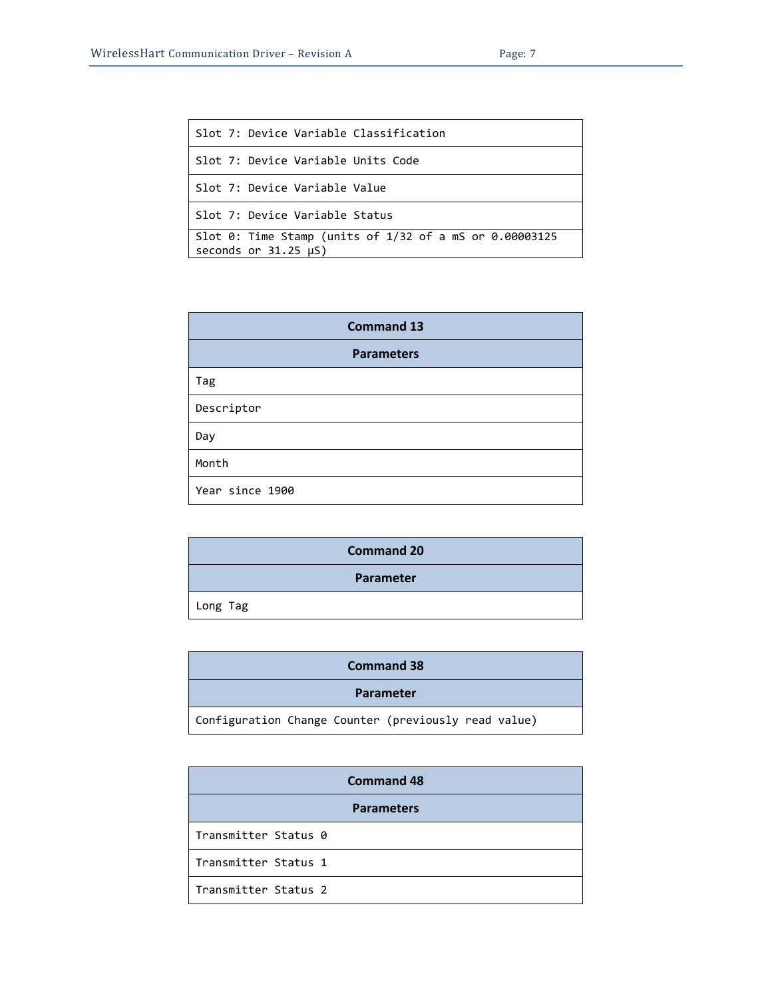| Slot 7: Device Variable Classification                                                |
|---------------------------------------------------------------------------------------|
| Slot 7: Device Variable Units Code                                                    |
| Slot 7: Device Variable Value                                                         |
| Slot 7: Device Variable Status                                                        |
| Slot 0: Time Stamp (units of 1/32 of a mS or 0.00003125<br>seconds or $31.25 \mu S$ ) |

| <b>Command 13</b> |
|-------------------|
| <b>Parameters</b> |
| Tag               |
| Descriptor        |
| Day               |
| Month             |
| Year since 1900   |

| <b>Command 20</b> |
|-------------------|
| Parameter         |
| Long Tag          |

| <b>Command 38</b>                                    |
|------------------------------------------------------|
| Parameter                                            |
| Configuration Change Counter (previously read value) |

| <b>Command 48</b>    |  |  |  |
|----------------------|--|--|--|
| <b>Parameters</b>    |  |  |  |
| Transmitter Status 0 |  |  |  |
| Transmitter Status 1 |  |  |  |
| Transmitter Status 2 |  |  |  |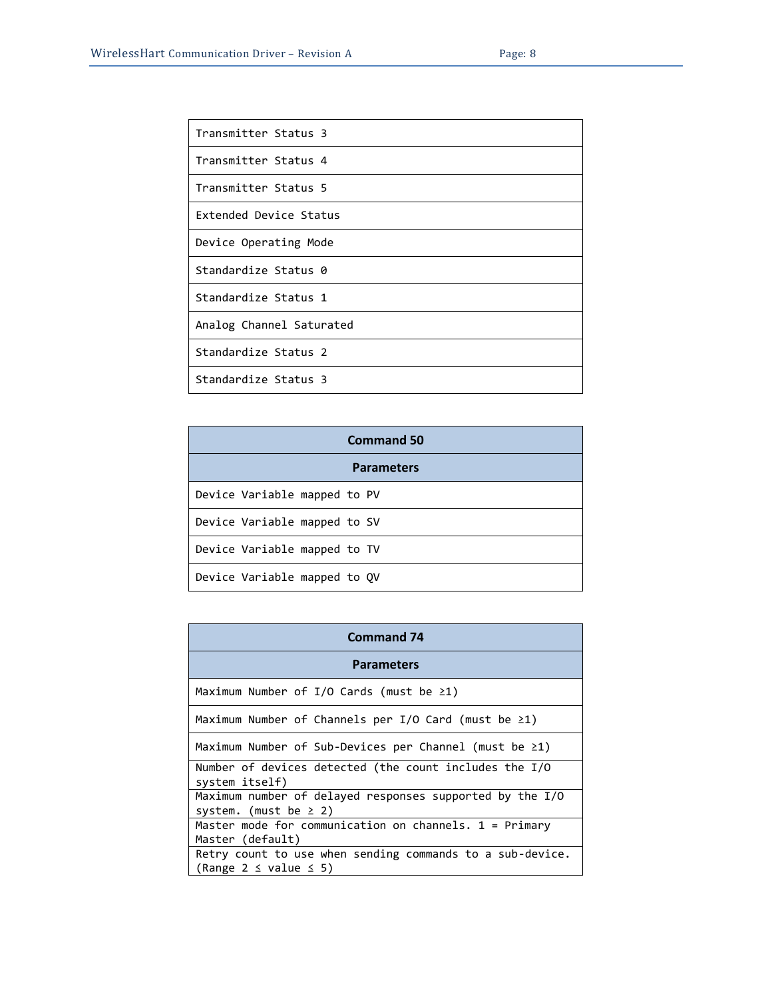| Transmitter Status 3     |  |  |  |
|--------------------------|--|--|--|
| Transmitter Status 4     |  |  |  |
| Transmitter Status 5     |  |  |  |
| Extended Device Status   |  |  |  |
| Device Operating Mode    |  |  |  |
| Standardize Status 0     |  |  |  |
| Standardize Status 1     |  |  |  |
| Analog Channel Saturated |  |  |  |
| Standardize Status 2     |  |  |  |
| Standardize Status 3     |  |  |  |

| <b>Command 50</b>            |  |  |
|------------------------------|--|--|
| <b>Parameters</b>            |  |  |
| Device Variable mapped to PV |  |  |
| Device Variable mapped to SV |  |  |
| Device Variable mapped to TV |  |  |
| Device Variable mapped to QV |  |  |

| Command 74                                                                                   |  |  |  |  |
|----------------------------------------------------------------------------------------------|--|--|--|--|
| <b>Parameters</b>                                                                            |  |  |  |  |
| Maximum Number of I/O Cards (must be $\geq 1$ )                                              |  |  |  |  |
| Maximum Number of Channels per I/O Card (must be $\geq 1$ )                                  |  |  |  |  |
| Maximum Number of Sub-Devices per Channel (must be $\geq 1$ )                                |  |  |  |  |
| Number of devices detected (the count includes the I/O<br>system itself)                     |  |  |  |  |
| Maximum number of delayed responses supported by the I/O<br>system. (must be $\geq$ 2)       |  |  |  |  |
| Master mode for communication on channels. $1 = Primary$<br>Master (default)                 |  |  |  |  |
| Retry count to use when sending commands to a sub-device.<br>(Range $2 \leq$ value $\leq$ 5) |  |  |  |  |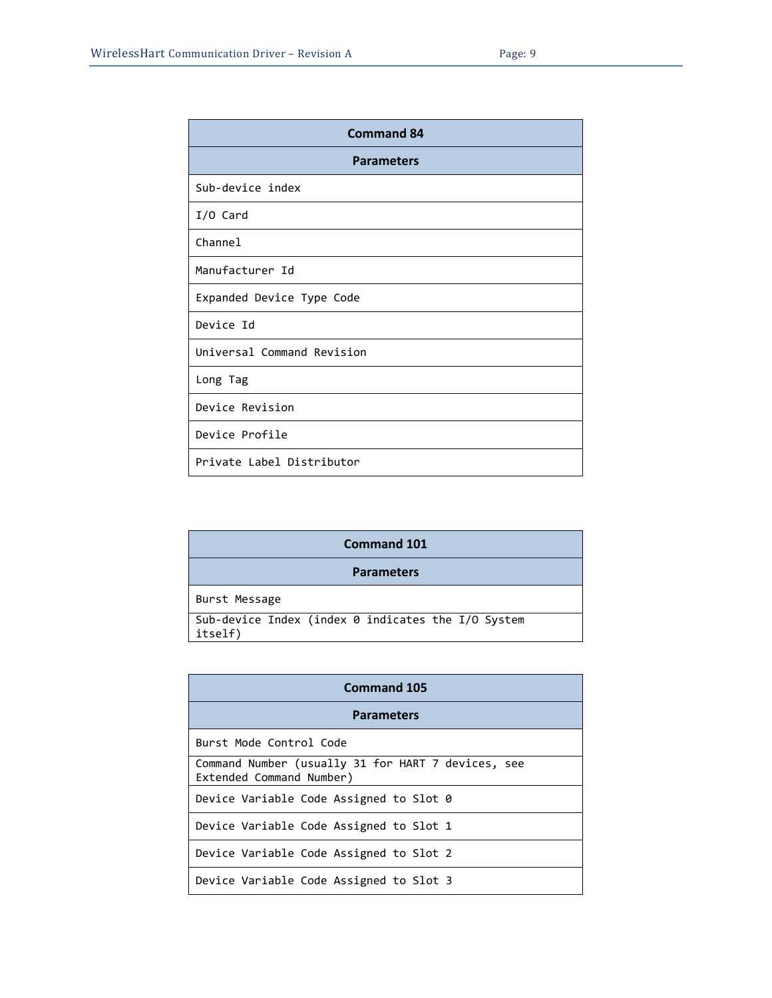| <b>Command 84</b>          |  |  |
|----------------------------|--|--|
| <b>Parameters</b>          |  |  |
| Sub-device index           |  |  |
| $I/O$ Card                 |  |  |
| Channel                    |  |  |
| Manufacturer Id            |  |  |
| Expanded Device Type Code  |  |  |
| Device Id                  |  |  |
| Universal Command Revision |  |  |
| Long Tag                   |  |  |
| Device Revision            |  |  |
| Device Profile             |  |  |
| Private Label Distributor  |  |  |

| <b>Command 101</b>                                            |  |  |  |  |
|---------------------------------------------------------------|--|--|--|--|
| <b>Parameters</b>                                             |  |  |  |  |
| Burst Message                                                 |  |  |  |  |
| Sub-device Index (index 0 indicates the I/O System<br>itself) |  |  |  |  |

| Command 105                                                                    |  |  |  |  |
|--------------------------------------------------------------------------------|--|--|--|--|
| <b>Parameters</b>                                                              |  |  |  |  |
| Burst Mode Control Code                                                        |  |  |  |  |
| Command Number (usually 31 for HART 7 devices, see<br>Extended Command Number) |  |  |  |  |
| Device Variable Code Assigned to Slot 0                                        |  |  |  |  |
| Device Variable Code Assigned to Slot 1                                        |  |  |  |  |
| Device Variable Code Assigned to Slot 2                                        |  |  |  |  |
| Device Variable Code Assigned to Slot 3                                        |  |  |  |  |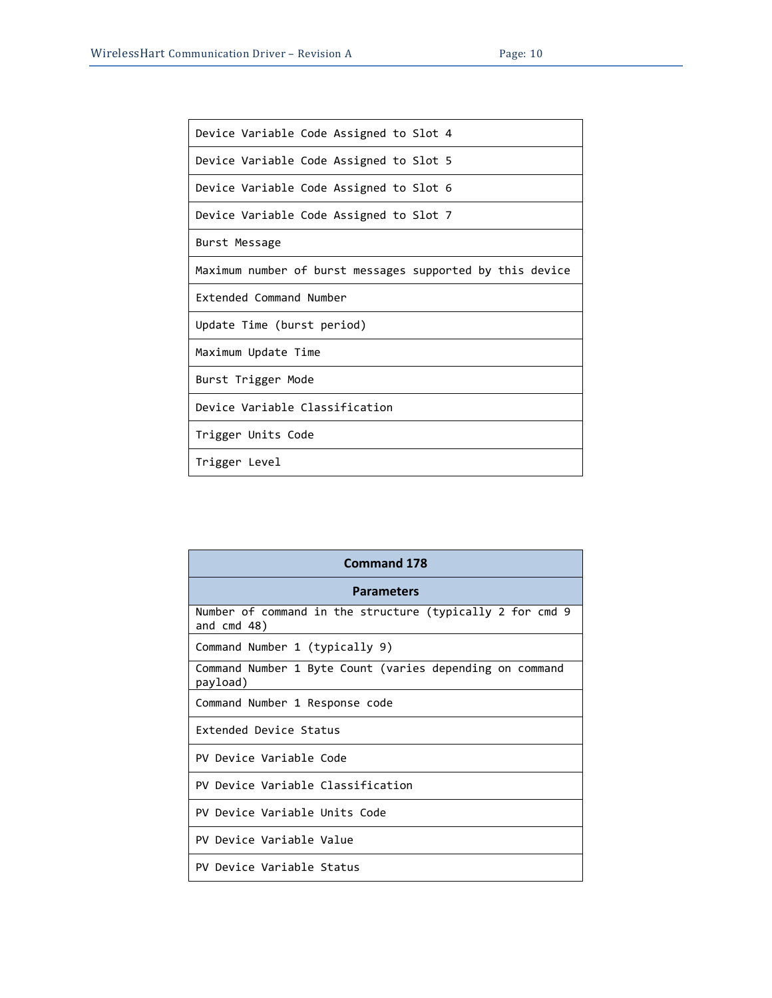| Device Variable Code Assigned to Slot 4                   |  |  |  |  |  |
|-----------------------------------------------------------|--|--|--|--|--|
| Device Variable Code Assigned to Slot 5                   |  |  |  |  |  |
| Device Variable Code Assigned to Slot 6                   |  |  |  |  |  |
| Device Variable Code Assigned to Slot 7                   |  |  |  |  |  |
| Burst Message                                             |  |  |  |  |  |
| Maximum number of burst messages supported by this device |  |  |  |  |  |
| Extended Command Number                                   |  |  |  |  |  |
| Update Time (burst period)                                |  |  |  |  |  |
| Maximum Update Time                                       |  |  |  |  |  |
| Burst Trigger Mode                                        |  |  |  |  |  |
| Device Variable Classification                            |  |  |  |  |  |
| Trigger Units Code                                        |  |  |  |  |  |
| Trigger Level                                             |  |  |  |  |  |

| <b>Command 178</b>                                                         |  |  |  |  |
|----------------------------------------------------------------------------|--|--|--|--|
| <b>Parameters</b>                                                          |  |  |  |  |
| Number of command in the structure (typically 2 for cmd 9<br>and $cmd$ 48) |  |  |  |  |
| Command Number 1 (typically 9)                                             |  |  |  |  |
| Command Number 1 Byte Count (varies depending on command<br>payload)       |  |  |  |  |
| Command Number 1 Response code                                             |  |  |  |  |
| Extended Device Status                                                     |  |  |  |  |
| PV Device Variable Code                                                    |  |  |  |  |
| PV Device Variable Classification                                          |  |  |  |  |
| PV Device Variable Units Code                                              |  |  |  |  |
| PV Device Variable Value                                                   |  |  |  |  |
| PV Device Variable Status                                                  |  |  |  |  |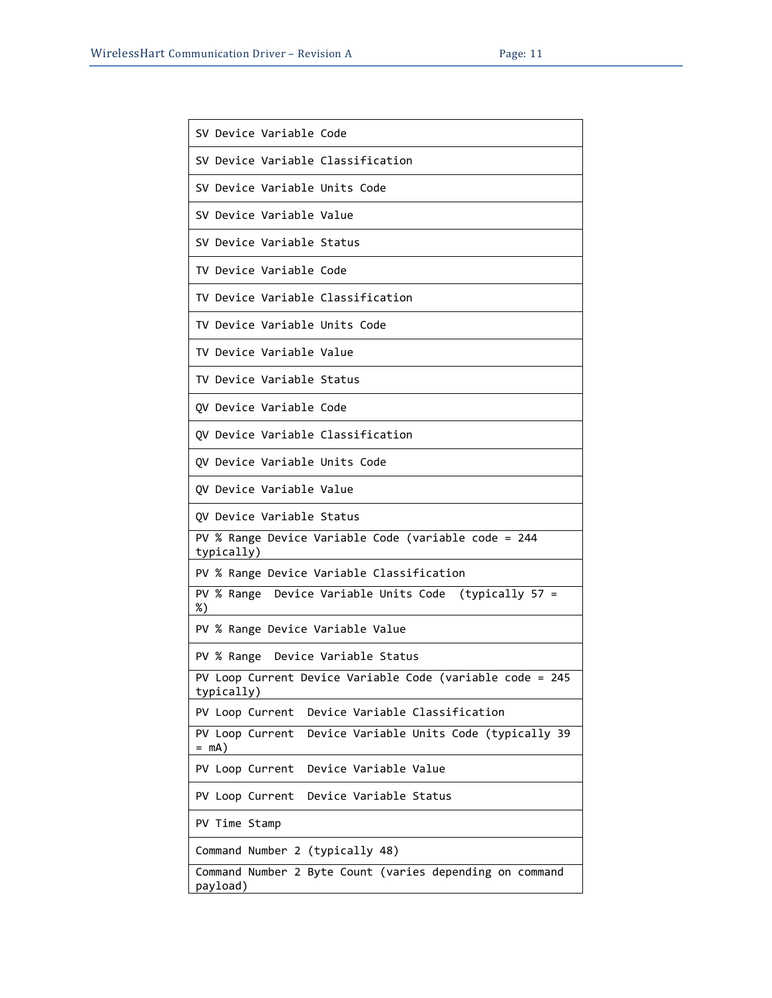| SV Device Variable Code                                                 |  |  |  |
|-------------------------------------------------------------------------|--|--|--|
| SV Device Variable Classification                                       |  |  |  |
| SV Device Variable Units Code                                           |  |  |  |
| SV Device Variable Value                                                |  |  |  |
| SV Device Variable Status                                               |  |  |  |
| TV Device Variable Code                                                 |  |  |  |
| TV Device Variable Classification                                       |  |  |  |
| TV Device Variable Units Code                                           |  |  |  |
| TV Device Variable Value                                                |  |  |  |
| TV Device Variable Status                                               |  |  |  |
| OV Device Variable Code                                                 |  |  |  |
| OV Device Variable Classification                                       |  |  |  |
| OV Device Variable Units Code                                           |  |  |  |
| OV Device Variable Value                                                |  |  |  |
| QV Device Variable Status                                               |  |  |  |
| PV % Range Device Variable Code (variable code = 244<br>typically)      |  |  |  |
| PV % Range Device Variable Classification                               |  |  |  |
| PV % Range Device Variable Units Code (typically 57 =<br>%)             |  |  |  |
| PV % Range Device Variable Value                                        |  |  |  |
| PV % Range Device Variable Status                                       |  |  |  |
| PV Loop Current Device Variable Code (variable code = 245<br>typically) |  |  |  |
| PV Loop Current<br>Device Variable Classification                       |  |  |  |
| PV Loop Current<br>Device Variable Units Code (typically 39<br>$=$ mA)  |  |  |  |
| PV Loop Current<br>Device Variable Value                                |  |  |  |
| PV Loop Current<br>Device Variable Status                               |  |  |  |
| PV Time Stamp                                                           |  |  |  |
| Command Number 2 (typically 48)                                         |  |  |  |
| Command Number 2 Byte Count (varies depending on command<br>payload)    |  |  |  |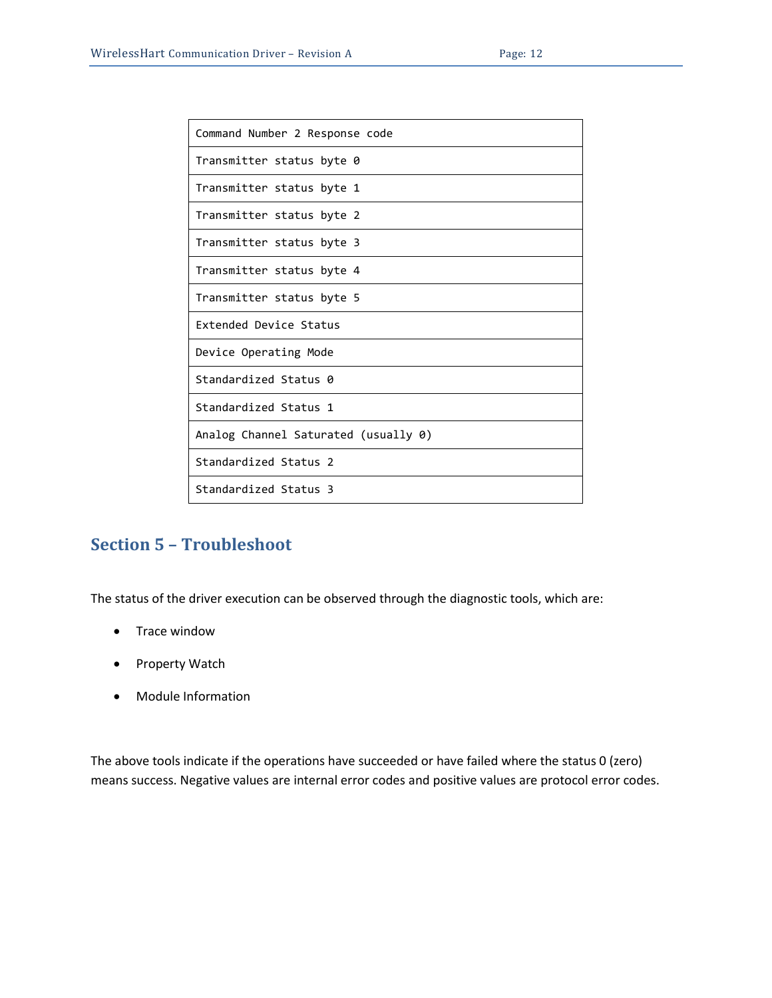| Command Number 2 Response code       |  |  |
|--------------------------------------|--|--|
| Transmitter status byte 0            |  |  |
| Transmitter status byte 1            |  |  |
| Transmitter status byte 2            |  |  |
| Transmitter status byte 3            |  |  |
| Transmitter status byte 4            |  |  |
| Transmitter status byte 5            |  |  |
| Extended Device Status               |  |  |
| Device Operating Mode                |  |  |
| Standardized Status 0                |  |  |
| Standardized Status 1                |  |  |
| Analog Channel Saturated (usually 0) |  |  |
| Standardized Status 2                |  |  |
| Standardized Status 3                |  |  |

## <span id="page-11-0"></span>**Section 5 – Troubleshoot**

The status of the driver execution can be observed through the diagnostic tools, which are:

- Trace window
- Property Watch
- Module Information

The above tools indicate if the operations have succeeded or have failed where the status 0 (zero) means success. Negative values are internal error codes and positive values are protocol error codes.